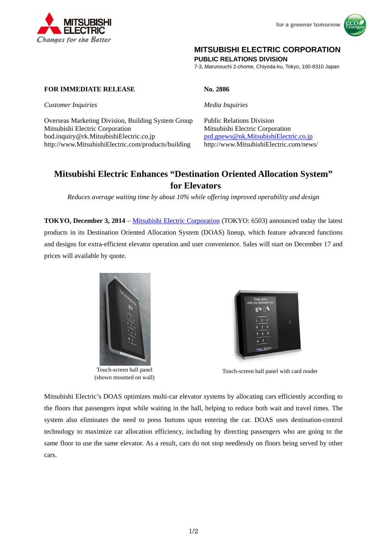



## **MITSUBISHI ELECTRIC CORPORATION**

**PUBLIC RELATIONS DIVISION** 

7-3, Marunouchi 2-chome, Chiyoda-ku, Tokyo, 100-8310 Japan

## **FOR IMMEDIATE RELEASE No. 2886**

*Customer Inquiries* Media Inquiries **Media Inquiries** 

Overseas Marketing Division, Building System Group Public Relations Division Mitsubishi Electric Corporation Mitsubishi Electric Corporation bod.inquiry@rk.MitsubishiElectric.co.jp prd.gnews@nk.MitsubishiElectric.co.jp http://www.MitsubishiElectric.com/products/building http://www.MitsubishiElectric.com/news/

# **Mitsubishi Electric Enhances "Destination Oriented Allocation System" for Elevators**

*Reduces average waiting time by about 10% while offering improved operability and design* 

**TOKYO, December 3, 2014** – Mitsubishi Electric Corporation (TOKYO: 6503) announced today the latest products in its Destination Oriented Allocation System (DOAS) lineup, which feature advanced functions and designs for extra-efficient elevator operation and user convenience. Sales will start on December 17 and prices will available by quote.



Touch-screen hall panel (shown mounted on wall)



Touch-screen hall panel with card reader

Mitsubishi Electric's DOAS optimizes multi-car elevator systems by allocating cars efficiently according to the floors that passengers input while waiting in the hall, helping to reduce both wait and travel times. The system also eliminates the need to press buttons upon entering the car. DOAS uses destination-control technology to maximize car allocation efficiency, including by directing passengers who are going to the same floor to use the same elevator. As a result, cars do not stop needlessly on floors being served by other cars.